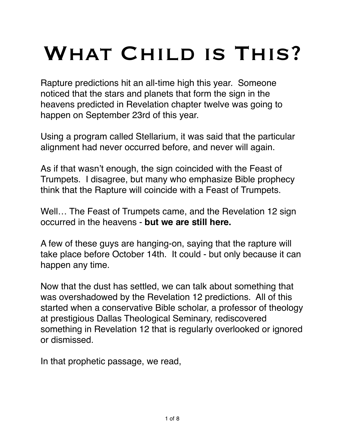## WHAT CHILD IS THIS?

Rapture predictions hit an all-time high this year. Someone noticed that the stars and planets that form the sign in the heavens predicted in Revelation chapter twelve was going to happen on September 23rd of this year.

Using a program called Stellarium, it was said that the particular alignment had never occurred before, and never will again.

As if that wasn't enough, the sign coincided with the Feast of Trumpets. I disagree, but many who emphasize Bible prophecy think that the Rapture will coincide with a Feast of Trumpets.

Well… The Feast of Trumpets came, and the Revelation 12 sign occurred in the heavens - **but we are still here.**

A few of these guys are hanging-on, saying that the rapture will take place before October 14th. It could - but only because it can happen any time.

Now that the dust has settled, we can talk about something that was overshadowed by the Revelation 12 predictions. All of this started when a conservative Bible scholar, a professor of theology at prestigious Dallas Theological Seminary, rediscovered something in Revelation 12 that is regularly overlooked or ignored or dismissed.

In that prophetic passage, we read,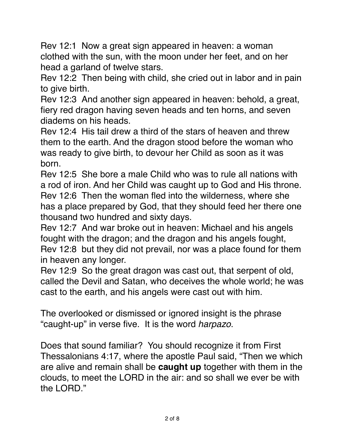[Rev 12:1](verseid:66.12.1) Now a great sign appeared in heaven: a woman clothed with the sun, with the moon under her feet, and on her head a garland of twelve stars.

[Rev 12:2](verseid:66.12.2) Then being with child, she cried out in labor and in pain to give birth.

[Rev 12:3](verseid:66.12.3) And another sign appeared in heaven: behold, a great, fiery red dragon having seven heads and ten horns, and seven diadems on his heads.

[Rev 12:4](verseid:66.12.4) His tail drew a third of the stars of heaven and threw them to the earth. And the dragon stood before the woman who was ready to give birth, to devour her Child as soon as it was born.

[Rev 12:5](verseid:66.12.5) She bore a male Child who was to rule all nations with a rod of iron. And her Child was caught up to God and His throne. [Rev 12:6](verseid:66.12.6) Then the woman fled into the wilderness, where she has a place prepared by God, that they should feed her there one thousand two hundred and sixty days.

[Rev 12:7](verseid:66.12.7) And war broke out in heaven: Michael and his angels fought with the dragon; and the dragon and his angels fought, [Rev 12:8](verseid:66.12.8) but they did not prevail, nor was a place found for them in heaven any longer.

[Rev 12:9](verseid:66.12.9) So the great dragon was cast out, that serpent of old, called the Devil and Satan, who deceives the whole world; he was cast to the earth, and his angels were cast out with him.

The overlooked or dismissed or ignored insight is the phrase "caught-up" in verse five. It is the word *harpazo*.

Does that sound familiar? You should recognize it from First Thessalonians 4:17, where the apostle Paul said, "Then we which are alive and remain shall be **caught up** together with them in the clouds, to meet the LORD in the air: and so shall we ever be with the LORD."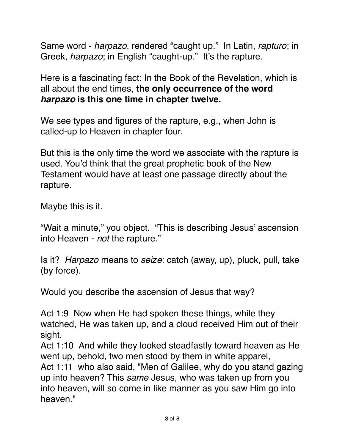Same word - *harpazo*, rendered "caught up." In Latin, *rapturo*; in Greek, *harpazo*; in English "caught-up." It's the rapture.

Here is a fascinating fact: In the Book of the Revelation, which is all about the end times, **the only occurrence of the word**  *harpazo* **is this one time in chapter twelve.**

We see types and figures of the rapture, e.g., when John is called-up to Heaven in chapter four.

But this is the only time the word we associate with the rapture is used. You'd think that the great prophetic book of the New Testament would have at least one passage directly about the rapture.

Maybe this is it.

"Wait a minute," you object. "This is describing Jesus' ascension into Heaven - *not* the rapture."

Is it? *Harpazo* means to *seize*: catch (away, up), pluck, pull, take (by force).

Would you describe the ascension of Jesus that way?

[Act 1:9](verseid:44.1.9) Now when He had spoken these things, while they watched, He was taken up, and a cloud received Him out of their sight.

[Act 1:10](verseid:44.1.10) And while they looked steadfastly toward heaven as He went up, behold, two men stood by them in white apparel,

[Act 1:11](verseid:44.1.11) who also said, "Men of Galilee, why do you stand gazing up into heaven? This *same* Jesus, who was taken up from you into heaven, will so come in like manner as you saw Him go into heaven."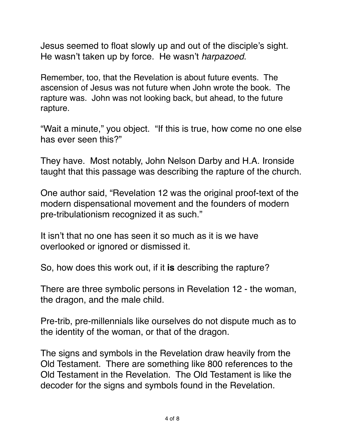Jesus seemed to float slowly up and out of the disciple's sight. He wasn't taken up by force. He wasn't *harpazoed*.

Remember, too, that the Revelation is about future events. The ascension of Jesus was not future when John wrote the book. The rapture was. John was not looking back, but ahead, to the future rapture.

"Wait a minute," you object. "If this is true, how come no one else has ever seen this?"

They have. Most notably, John Nelson Darby and H.A. Ironside taught that this passage was describing the rapture of the church.

One author said, "Revelation 12 was the original proof-text of the modern dispensational movement and the founders of modern pre-tribulationism recognized it as such."

It isn't that no one has seen it so much as it is we have overlooked or ignored or dismissed it.

So, how does this work out, if it **is** describing the rapture?

There are three symbolic persons in Revelation 12 - the woman, the dragon, and the male child.

Pre-trib, pre-millennials like ourselves do not dispute much as to the identity of the woman, or that of the dragon.

The signs and symbols in the Revelation draw heavily from the Old Testament. There are something like 800 references to the Old Testament in the Revelation. The Old Testament is like the decoder for the signs and symbols found in the Revelation.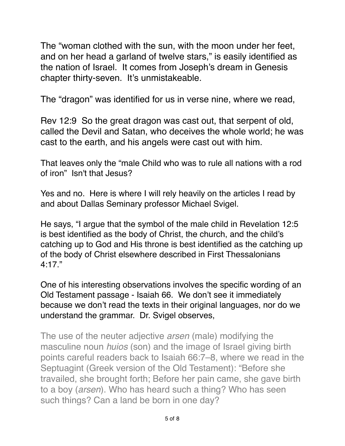The "woman clothed with the sun, with the moon under her feet, and on her head a garland of twelve stars," is easily identified as the nation of Israel. It comes from Joseph's dream in Genesis chapter thirty-seven. It's unmistakeable.

The "dragon" was identified for us in verse nine, where we read,

[Rev 12:9](verseid:66.12.9) So the great dragon was cast out, that serpent of old, called the Devil and Satan, who deceives the whole world; he was cast to the earth, and his angels were cast out with him.

That leaves only the "male Child who was to rule all nations with a rod of iron" Isn't that Jesus?

Yes and no. Here is where I will rely heavily on the articles I read by and about Dallas Seminary professor Michael Svigel.

He says, "I argue that the symbol of the male child in [Revelation 12:5](https://biblia.com/bible/esv/Rev%2012.5)  is best identified as the body of Christ, the church, and the child's catching up to God and His throne is best identified as the catching up of the body of Christ elsewhere described in First Thessalonians 4:17."

One of his interesting observations involves the specific wording of an Old Testament passage - Isaiah 66. We don't see it immediately because we don't read the texts in their original languages, nor do we understand the grammar. Dr. Svigel observes,

The use of the neuter adjective *arsen* (male) modifying the masculine noun *huios* (son) and the image of Israel giving birth points careful readers back to [Isaiah 66:7–8](https://biblia.com/bible/esv/Isa%2066.7%E2%80%938), where we read in the Septuagint (Greek version of the Old Testament): "Before she travailed, she brought forth; Before her pain came, she gave birth to a boy (*arsen*). Who has heard such a thing? Who has seen such things? Can a land be born in one day?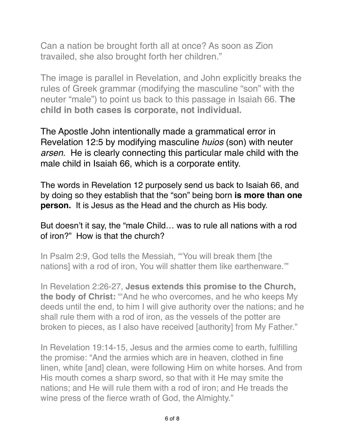Can a nation be brought forth all at once? As soon as Zion travailed, she also brought forth her children."

The image is parallel in Revelation, and John explicitly breaks the rules of Greek grammar (modifying the masculine "son" with the neuter "male") to point us back to this passage in Isaiah 66. **The child in both cases is corporate, not individual.**

The Apostle John intentionally made a grammatical error in [Revelation 12:5](https://biblia.com/bible/esv/Rev%2012.5) by modifying masculine *huios* (son) with neuter *arsen*. He is clearly connecting this particular male child with the male child in Isaiah 66, which is a corporate entity.

The words in Revelation 12 purposely send us back to Isaiah 66, and by doing so they establish that the "son" being born **is more than one person.** It is Jesus as the Head and the church as His body.

## But doesn't it say, the "male Child… was to rule all nations with a rod of iron?" How is that the church?

In [Psalm 2:9](https://biblia.com/bible/esv/Ps%202.9), God tells the Messiah, "'You will break them [the nations] with a rod of iron, You will shatter them like earthenware.'"

In [Revelation 2:26-27,](https://biblia.com/bible/esv/Rev%202.26-27) **Jesus extends this promise to the Church, the body of Christ:** "'And he who overcomes, and he who keeps My deeds until the end, to him I will give authority over the nations; and he shall rule them with a rod of iron, as the vessels of the potter are broken to pieces, as I also have received [authority] from My Father."

In [Revelation 19:14-15,](https://biblia.com/bible/esv/Rev%2019.14-15) Jesus and the armies come to earth, fulfilling the promise: "And the armies which are in heaven, clothed in fine linen, white [and] clean, were following Him on white horses. And from His mouth comes a sharp sword, so that with it He may smite the nations; and He will rule them with a rod of iron; and He treads the wine press of the fierce wrath of God, the Almighty."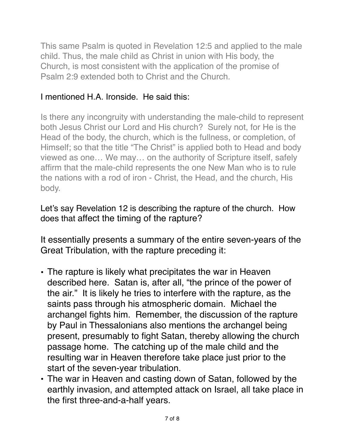This same Psalm is quoted in [Revelation 12:5](https://biblia.com/bible/esv/Rev%2012.5) and applied to the male child. Thus, the male child as Christ in union with His body, the Church, is most consistent with the application of the promise of [Psalm 2:9](https://biblia.com/bible/esv/Ps%202.9) extended both to Christ and the Church.

## I mentioned H.A. Ironside. He said this:

Is there any incongruity with understanding the male-child to represent both Jesus Christ our Lord and His church? Surely not, for He is the Head of the body, the church, which is the fullness, or completion, of Himself; so that the title "The Christ" is applied both to Head and body viewed as one… We may… on the authority of Scripture itself, safely affirm that the male-child represents the one New Man who is to rule the nations with a rod of iron - Christ, the Head, and the church, His body.

## Let's say Revelation 12 is describing the rapture of the church. How does that affect the timing of the rapture?

It essentially presents a summary of the entire seven-years of the Great Tribulation, with the rapture preceding it:

- The rapture is likely what precipitates the war in Heaven described here. Satan is, after all, "the prince of the power of the air." It is likely he tries to interfere with the rapture, as the saints pass through his atmospheric domain. Michael the archangel fights him. Remember, the discussion of the rapture by Paul in Thessalonians also mentions the archangel being present, presumably to fight Satan, thereby allowing the church passage home. The catching up of the male child and the resulting war in Heaven therefore take place just prior to the start of the seven-year tribulation.
- The war in Heaven and casting down of Satan, followed by the earthly invasion, and attempted attack on Israel, all take place in the first three-and-a-half years.